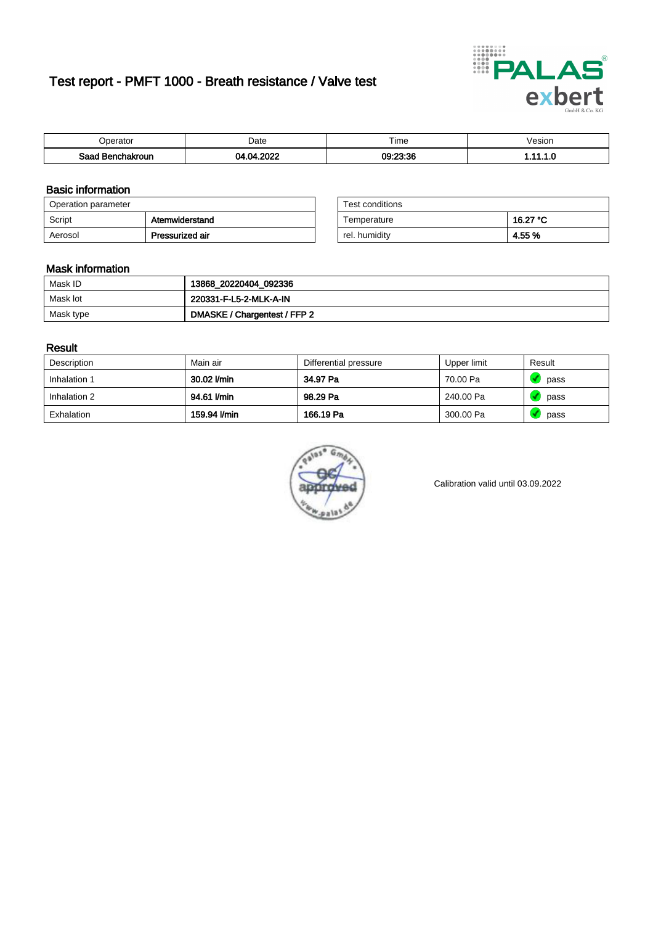# Test report - PMFT 1000 - Breath resistance / Valve test



| <b>'</b> perator              | Date | $- \cdot$<br><b>Time</b> | esion |
|-------------------------------|------|--------------------------|-------|
| Saad<br><b>ìchakroun</b><br>. | onos | 00.00.00<br>US.          | .     |

### Basic information

| Operation parameter |                 | Test conditions |          |
|---------------------|-----------------|-----------------|----------|
| Script              | Atemwiderstand  | Temperature     | 16.27 °C |
| Aerosol             | Pressurized air | rel. humidity   | 4.55 %   |

| Test conditions |          |
|-----------------|----------|
| Temperature     | 16.27 °C |
| rel. humidity   | 4.55 %   |

#### Mask information

| Mask ID   | 13868_20220404_092336        |
|-----------|------------------------------|
| Mask lot  | 220331-F-L5-2-MLK-A-IN       |
| Mask type | DMASKE / Chargentest / FFP 2 |

### Result

| Description  | Main air     | Differential pressure | Upper limit | Result |
|--------------|--------------|-----------------------|-------------|--------|
| Inhalation 1 | 30.02 l/min  | 34.97 Pa              | 70.00 Pa    | pass   |
| Inhalation 2 | 94.61 l/min  | 98.29 Pa              | 240.00 Pa   | pass   |
| Exhalation   | 159.94 l/min | 166.19 Pa             | 300.00 Pa   | pass   |



Calibration valid until 03.09.2022